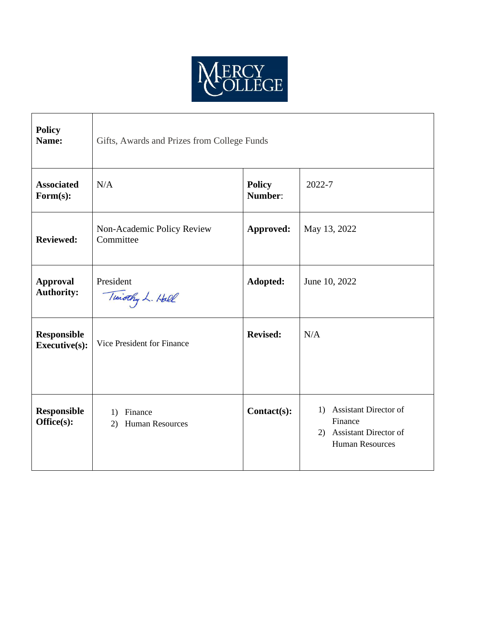

| <b>Policy</b><br>Name:                     | Gifts, Awards and Prizes from College Funds    |                          |                                                                                                     |
|--------------------------------------------|------------------------------------------------|--------------------------|-----------------------------------------------------------------------------------------------------|
| <b>Associated</b><br>Form(s):              | N/A                                            | <b>Policy</b><br>Number: | 2022-7                                                                                              |
| <b>Reviewed:</b>                           | Non-Academic Policy Review<br>Committee        | Approved:                | May 13, 2022                                                                                        |
| <b>Approval</b><br><b>Authority:</b>       | President<br>Timothy L. Hall                   | Adopted:                 | June 10, 2022                                                                                       |
| <b>Responsible</b><br><b>Executive(s):</b> | Vice President for Finance                     | <b>Revised:</b>          | N/A                                                                                                 |
| <b>Responsible</b><br>Office(s):           | Finance<br>1)<br><b>Human Resources</b><br>(2) | Contact(s):              | <b>Assistant Director of</b><br>1)<br>Finance<br>2) Assistant Director of<br><b>Human Resources</b> |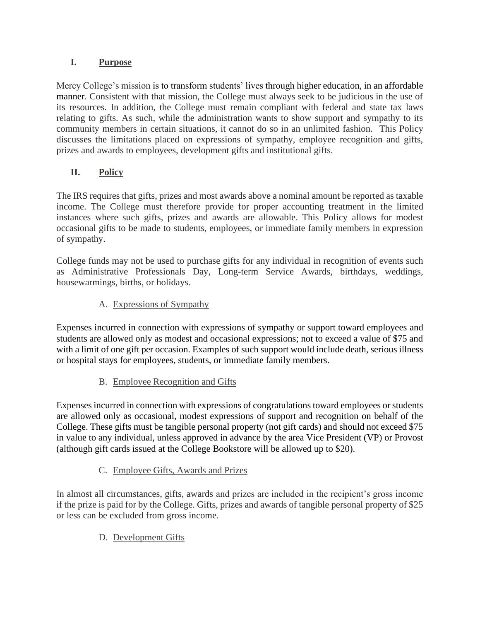### **I. Purpose**

Mercy College's mission is to transform students' lives through higher education, in an affordable manner. Consistent with that mission, the College must always seek to be judicious in the use of its resources. In addition, the College must remain compliant with federal and state tax laws relating to gifts. As such, while the administration wants to show support and sympathy to its community members in certain situations, it cannot do so in an unlimited fashion. This Policy discusses the limitations placed on expressions of sympathy, employee recognition and gifts, prizes and awards to employees, development gifts and institutional gifts.

# **II. Policy**

The IRS requires that gifts, prizes and most awards above a nominal amount be reported as taxable income. The College must therefore provide for proper accounting treatment in the limited instances where such gifts, prizes and awards are allowable. This Policy allows for modest occasional gifts to be made to students, employees, or immediate family members in expression of sympathy.

College funds may not be used to purchase gifts for any individual in recognition of events such as Administrative Professionals Day, Long-term Service Awards, birthdays, weddings, housewarmings, births, or holidays.

### A. Expressions of Sympathy

Expenses incurred in connection with expressions of sympathy or support toward employees and students are allowed only as modest and occasional expressions; not to exceed a value of \$75 and with a limit of one gift per occasion. Examples of such support would include death, serious illness or hospital stays for employees, students, or immediate family members.

# B. Employee Recognition and Gifts

Expenses incurred in connection with expressions of congratulations toward employees or students are allowed only as occasional, modest expressions of support and recognition on behalf of the College. These gifts must be tangible personal property (not gift cards) and should not exceed \$75 in value to any individual, unless approved in advance by the area Vice President (VP) or Provost (although gift cards issued at the College Bookstore will be allowed up to \$20).

#### C. Employee Gifts, Awards and Prizes

In almost all circumstances, gifts, awards and prizes are included in the recipient's gross income if the prize is paid for by the College. Gifts, prizes and awards of tangible personal property of \$25 or less can be excluded from gross income.

# D. Development Gifts